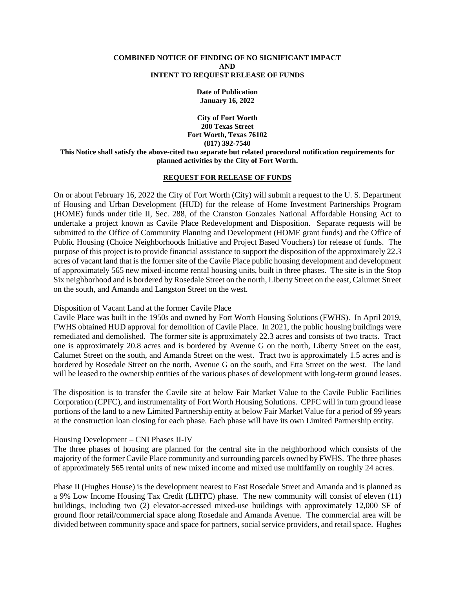#### **COMBINED NOTICE OF FINDING OF NO SIGNIFICANT IMPACT AND INTENT TO REQUEST RELEASE OF FUNDS**

**Date of Publication January 16, 2022**

**City of Fort Worth 200 Texas Street Fort Worth, Texas 76102 (817) 392-7540 This Notice shall satisfy the above-cited two separate but related procedural notification requirements for planned activities by the City of Fort Worth.**

#### **REQUEST FOR RELEASE OF FUNDS**

On or about February 16, 2022 the City of Fort Worth (City) will submit a request to the U. S. Department of Housing and Urban Development (HUD) for the release of Home Investment Partnerships Program (HOME) funds under title II, Sec. 288, of the Cranston Gonzales National Affordable Housing Act to undertake a project known as Cavile Place Redevelopment and Disposition. Separate requests will be submitted to the Office of Community Planning and Development (HOME grant funds) and the Office of Public Housing (Choice Neighborhoods Initiative and Project Based Vouchers) for release of funds. The purpose of this project is to provide financial assistance to support the disposition of the approximately 22.3 acres of vacant land that is the former site of the Cavile Place public housing development and development of approximately 565 new mixed-income rental housing units, built in three phases. The site is in the Stop Six neighborhood and is bordered by Rosedale Street on the north, Liberty Street on the east, Calumet Street on the south, and Amanda and Langston Street on the west.

### Disposition of Vacant Land at the former Cavile Place

Cavile Place was built in the 1950s and owned by Fort Worth Housing Solutions (FWHS). In April 2019, FWHS obtained HUD approval for demolition of Cavile Place. In 2021, the public housing buildings were remediated and demolished. The former site is approximately 22.3 acres and consists of two tracts. Tract one is approximately 20.8 acres and is bordered by Avenue G on the north, Liberty Street on the east, Calumet Street on the south, and Amanda Street on the west. Tract two is approximately 1.5 acres and is bordered by Rosedale Street on the north, Avenue G on the south, and Etta Street on the west. The land will be leased to the ownership entities of the various phases of development with long-term ground leases.

The disposition is to transfer the Cavile site at below Fair Market Value to the Cavile Public Facilities Corporation (CPFC), and instrumentality of Fort Worth Housing Solutions. CPFC will in turn ground lease portions of the land to a new Limited Partnership entity at below Fair Market Value for a period of 99 years at the construction loan closing for each phase. Each phase will have its own Limited Partnership entity.

### Housing Development – CNI Phases II-IV

The three phases of housing are planned for the central site in the neighborhood which consists of the majority of the former Cavile Place community and surrounding parcels owned by FWHS. The three phases of approximately 565 rental units of new mixed income and mixed use multifamily on roughly 24 acres.

Phase II (Hughes House) is the development nearest to East Rosedale Street and Amanda and is planned as a 9% Low Income Housing Tax Credit (LIHTC) phase. The new community will consist of eleven (11) buildings, including two (2) elevator-accessed mixed-use buildings with approximately 12,000 SF of ground floor retail/commercial space along Rosedale and Amanda Avenue. The commercial area will be divided between community space and space for partners, social service providers, and retail space. Hughes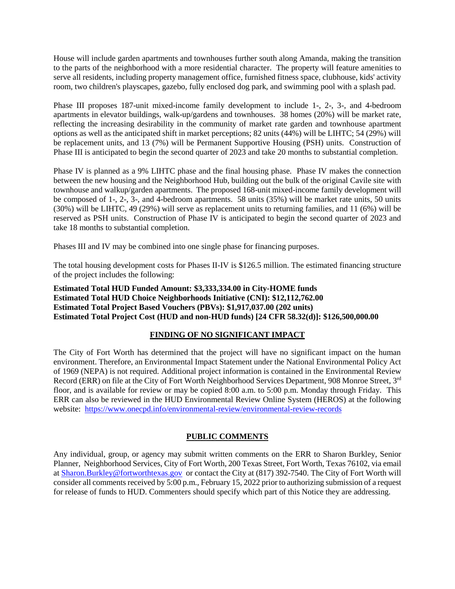House will include garden apartments and townhouses further south along Amanda, making the transition to the parts of the neighborhood with a more residential character. The property will feature amenities to serve all residents, including property management office, furnished fitness space, clubhouse, kids' activity room, two children's playscapes, gazebo, fully enclosed dog park, and swimming pool with a splash pad.

Phase III proposes 187-unit mixed-income family development to include 1-, 2-, 3-, and 4-bedroom apartments in elevator buildings, walk-up/gardens and townhouses. 38 homes (20%) will be market rate, reflecting the increasing desirability in the community of market rate garden and townhouse apartment options as well as the anticipated shift in market perceptions; 82 units (44%) will be LIHTC; 54 (29%) will be replacement units, and 13 (7%) will be Permanent Supportive Housing (PSH) units. Construction of Phase III is anticipated to begin the second quarter of 2023 and take 20 months to substantial completion.

Phase IV is planned as a 9% LIHTC phase and the final housing phase. Phase IV makes the connection between the new housing and the Neighborhood Hub, building out the bulk of the original Cavile site with townhouse and walkup/garden apartments. The proposed 168-unit mixed-income family development will be composed of 1-, 2-, 3-, and 4-bedroom apartments. 58 units (35%) will be market rate units, 50 units (30%) will be LIHTC, 49 (29%) will serve as replacement units to returning families, and 11 (6%) will be reserved as PSH units. Construction of Phase IV is anticipated to begin the second quarter of 2023 and take 18 months to substantial completion.

Phases III and IV may be combined into one single phase for financing purposes.

The total housing development costs for Phases II-IV is \$126.5 million. The estimated financing structure of the project includes the following:

**Estimated Total HUD Funded Amount: \$3,333,334.00 in City-HOME funds Estimated Total HUD Choice Neighborhoods Initiative (CNI): \$12,112,762.00 Estimated Total Project Based Vouchers (PBVs): \$1,917,037.00 (202 units) Estimated Total Project Cost (HUD and non-HUD funds) [24 CFR 58.32(d)]: \$126,500,000.00**

# **FINDING OF NO SIGNIFICANT IMPACT**

The City of Fort Worth has determined that the project will have no significant impact on the human environment. Therefore, an Environmental Impact Statement under the National Environmental Policy Act of 1969 (NEPA) is not required. Additional project information is contained in the Environmental Review Record (ERR) on file at the City of Fort Worth Neighborhood Services Department, 908 Monroe Street, 3<sup>rd</sup> floor, and is available for review or may be copied 8:00 a.m. to 5:00 p.m. Monday through Friday. This ERR can also be reviewed in the HUD Environmental Review Online System (HEROS) at the following website: <https://www.onecpd.info/environmental-review/environmental-review-records>

# **PUBLIC COMMENTS**

Any individual, group, or agency may submit written comments on the ERR to Sharon Burkley, Senior Planner, Neighborhood Services, City of Fort Worth, 200 Texas Street, Fort Worth, Texas 76102, via email at [Sharon.Burkley@fortworthtexas.gov](mailto:Sharon.Burkley@fortworthtexas.gov) or contact the City at (817) 392-7540. The City of Fort Worth will consider all comments received by 5:00 p.m., February 15, 2022 prior to authorizing submission of a request for release of funds to HUD. Commenters should specify which part of this Notice they are addressing.